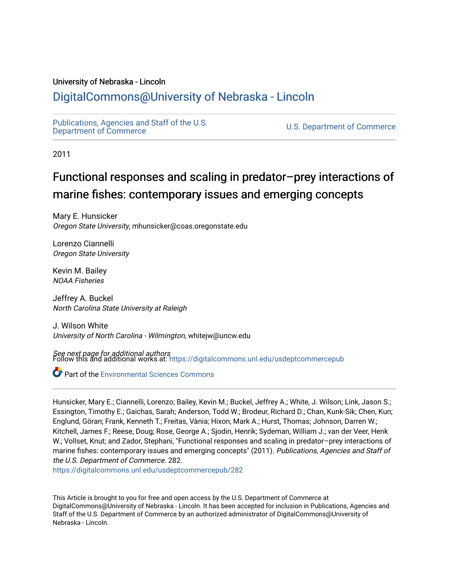# University of Nebraska - Lincoln

# [DigitalCommons@University of Nebraska - Lincoln](https://digitalcommons.unl.edu/)

[Publications, Agencies and Staff of the U.S.](https://digitalcommons.unl.edu/usdeptcommercepub)

U.S. [Department of Commerce](https://digitalcommons.unl.edu/usdeptcommercepub)

2011

# Functional responses and scaling in predator–prey interactions of marine fishes: contemporary issues and emerging concepts

Mary E. Hunsicker Oregon State University, mhunsicker@coas.oregonstate.edu

Lorenzo Ciannelli Oregon State University

Kevin M. Bailey NOAA Fisheries

Jeffrey A. Buckel North Carolina State University at Raleigh

J. Wilson White University of North Carolina - Wilmington, whitejw@uncw.edu

**See next page for additional authors**<br>Follow this and additional works at: [https://digitalcommons.unl.edu/usdeptcommercepub](https://digitalcommons.unl.edu/usdeptcommercepub?utm_source=digitalcommons.unl.edu%2Fusdeptcommercepub%2F282&utm_medium=PDF&utm_campaign=PDFCoverPages)

**Part of the [Environmental Sciences Commons](http://network.bepress.com/hgg/discipline/167?utm_source=digitalcommons.unl.edu%2Fusdeptcommercepub%2F282&utm_medium=PDF&utm_campaign=PDFCoverPages)** 

Hunsicker, Mary E.; Ciannelli, Lorenzo; Bailey, Kevin M.; Buckel, Jeffrey A.; White, J. Wilson; Link, Jason S.; Essington, Timothy E.; Gaichas, Sarah; Anderson, Todd W.; Brodeur, Richard D.; Chan, Kunk-Sik; Chen, Kun; Englund, Göran; Frank, Kenneth T.; Freitas, Vània; Hixon, Mark A.; Hurst, Thomas; Johnson, Darren W.; Kitchell, James F.; Reese, Doug; Rose, George A.; Sjodin, Henrik; Sydeman, William J.; van der Veer, Henk W.; Vollset, Knut; and Zador, Stephani, "Functional responses and scaling in predator–prey interactions of marine fishes: contemporary issues and emerging concepts" (2011). Publications, Agencies and Staff of the U.S. Department of Commerce. 282.

[https://digitalcommons.unl.edu/usdeptcommercepub/282](https://digitalcommons.unl.edu/usdeptcommercepub/282?utm_source=digitalcommons.unl.edu%2Fusdeptcommercepub%2F282&utm_medium=PDF&utm_campaign=PDFCoverPages) 

This Article is brought to you for free and open access by the U.S. Department of Commerce at DigitalCommons@University of Nebraska - Lincoln. It has been accepted for inclusion in Publications, Agencies and Staff of the U.S. Department of Commerce by an authorized administrator of DigitalCommons@University of Nebraska - Lincoln.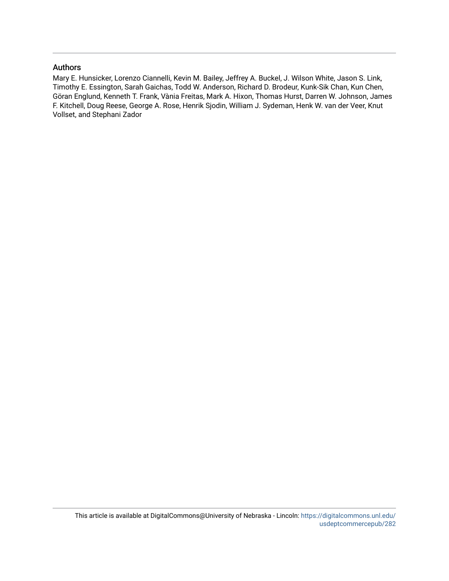# Authors

Mary E. Hunsicker, Lorenzo Ciannelli, Kevin M. Bailey, Jeffrey A. Buckel, J. Wilson White, Jason S. Link, Timothy E. Essington, Sarah Gaichas, Todd W. Anderson, Richard D. Brodeur, Kunk-Sik Chan, Kun Chen, Göran Englund, Kenneth T. Frank, Vània Freitas, Mark A. Hixon, Thomas Hurst, Darren W. Johnson, James F. Kitchell, Doug Reese, George A. Rose, Henrik Sjodin, William J. Sydeman, Henk W. van der Veer, Knut Vollset, and Stephani Zador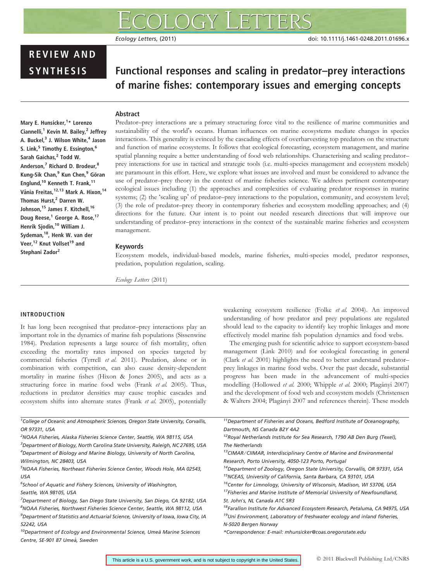# REVIEW AND

# SYNTHESIS Functional responses and scaling in predator–prey interactions of marine fishes: contemporary issues and emerging concepts

# Abstract

Mary E. Hunsicker,<sup>1</sup>\* Lorenzo Ciannelli,<sup>1</sup> Kevin M. Bailey,<sup>2</sup> Jeffrey A. Buckel,<sup>3</sup> J. Wilson White,<sup>4</sup> Jason S. Link,<sup>5</sup> Timothy E. Essington,<sup>6</sup> Sarah Gaichas,<sup>2</sup> Todd W. Anderson,<sup>7</sup> Richard D. Brodeur,<sup>8</sup> Kung-Sik Chan,<sup>9</sup> Kun Chen,<sup>9</sup> Göran Englund,<sup>10</sup> Kenneth T. Frank,<sup>11</sup> Vânia Freitas, <sup>12, 13</sup> Mark A. Hixon, <sup>14</sup> Thomas Hurst,<sup>2</sup> Darren W. Johnson,<sup>15</sup> James F. Kitchell,<sup>16</sup> Doug Reese,<sup>1</sup> George A. Rose,<sup>17</sup> Henrik Sjodin,<sup>10</sup> William J. Sydeman,18, Henk W. van der Veer,<sup>12</sup> Knut Vollset<sup>19</sup> and Stephani Zador<sup>2</sup>

Predator–prey interactions are a primary structuring force vital to the resilience of marine communities and sustainability of the world's oceans. Human influences on marine ecosystems mediate changes in species interactions. This generality is evinced by the cascading effects of overharvesting top predators on the structure and function of marine ecosystems. It follows that ecological forecasting, ecosystem management, and marine spatial planning require a better understanding of food web relationships. Characterising and scaling predator– prey interactions for use in tactical and strategic tools (i.e. multi-species management and ecosystem models) are paramount in this effort. Here, we explore what issues are involved and must be considered to advance the use of predator–prey theory in the context of marine fisheries science. We address pertinent contemporary ecological issues including (1) the approaches and complexities of evaluating predator responses in marine systems; (2) the 'scaling up' of predator–prey interactions to the population, community, and ecosystem level; (3) the role of predator–prey theory in contemporary fisheries and ecosystem modelling approaches; and (4) directions for the future. Our intent is to point out needed research directions that will improve our understanding of predator–prey interactions in the context of the sustainable marine fisheries and ecosystem management.

#### Keywords

Ecosystem models, individual-based models, marine fisheries, multi-species model, predator responses, predation, population regulation, scaling.

Ecology Letters (2011)

#### INTRODUCTION

It has long been recognised that predator–prey interactions play an important role in the dynamics of marine fish populations (Sissenwine 1984). Predation represents a large source of fish mortality, often exceeding the mortality rates imposed on species targeted by commercial fisheries (Tyrrell et al. 2011). Predation, alone or in combination with competition, can also cause density-dependent mortality in marine fishes (Hixon & Jones 2005), and acts as a structuring force in marine food webs (Frank et al. 2005). Thus, reductions in predator densities may cause trophic cascades and ecosystem shifts into alternate states (Frank et al. 2005), potentially

<sup>1</sup>College of Oceanic and Atmospheric Sciences, Oregon State University, Corvallis, OR 97331, USA

2 NOAA Fisheries, Alaska Fisheries Science Center, Seattle, WA 98115, USA <sup>3</sup>Department of Biology, North Carolina State University, Raleigh, NC 27695, USA 4 Department of Biology and Marine Biology, University of North Carolina, Wilmington, NC 28403, USA

5 NOAA Fisheries, Northeast Fisheries Science Center, Woods Hole, MA 02543, USA

<sup>6</sup>School of Aquatic and Fishery Sciences, University of Washington, Seattle, WA 98105, USA

7 Department of Biology, San Diego State University, San Diego, CA 92182, USA 8 NOAA Fisheries, Northwest Fisheries Science Center, Seattle, WA 98112, USA <sup>9</sup>Department of Statistics and Actuarial Science, University of Iowa, Iowa City, IA 52242, USA

 $10$ Department of Ecology and Environmental Science, Umeå Marine Sciences Centre, SE-901 87 Umeå, Sweden

weakening ecosystem resilience (Folke et al. 2004). An improved understanding of how predator and prey populations are regulated should lead to the capacity to identify key trophic linkages and more effectively model marine fish population dynamics and food webs.

The emerging push for scientific advice to support ecosystem-based management (Link 2010) and for ecological forecasting in general (Clark et al. 2001) highlights the need to better understand predator– prey linkages in marine food webs. Over the past decade, substantial progress has been made in the advancement of multi-species modelling (Hollowed et al. 2000; Whipple et al. 2000; Plagányi 2007) and the development of food web and ecosystem models (Christensen & Walters 2004; Plagányi 2007 and references therein). These models

 $11$  Department of Fisheries and Oceans, Bedford Institute of Oceanography, Dartmouth, NS Canada B2Y 4A2

12Royal Netherlands Institute for Sea Research, 1790 AB Den Burg (Texel), The Netherlands

13 CIMAR/CIIMAR, Interdisciplinary Centre of Marine and Environmental Research, Porto University, 4050-123 Porto, Portugal

14Department of Zoology, Oregon State University, Corvallis, OR 97331, USA <sup>15</sup>NCEAS, University of California, Santa Barbara, CA 93101, USA

<sup>16</sup>Center for Limnology, University of Wisconsin, Madison, WI 53706, USA  $17$ Fisheries and Marine Institute of Memorial University of Newfoundland, St. John's, NL Canada A1C 5R3

<sup>18</sup>Farallon Institute for Advanced Ecosystem Research, Petaluma, CA 94975, USA  $19$ Uni Environment, Laboratory of freshwater ecology and inland fisheries, N-5020 Bergen Norway

\*Correspondence: E-mail: mhunsicker@coas.oregonstate.edu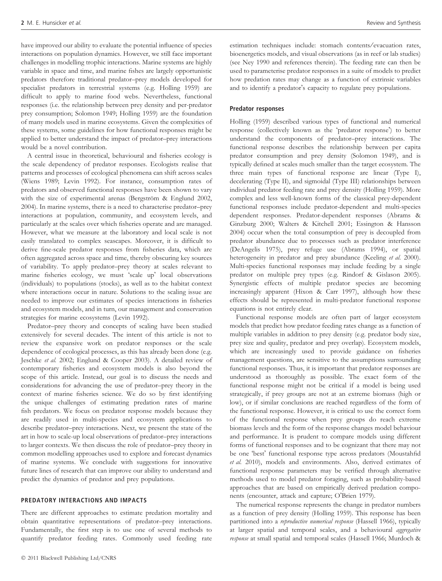have improved our ability to evaluate the potential influence of species interactions on population dynamics. However, we still face important challenges in modelling trophic interactions. Marine systems are highly variable in space and time, and marine fishes are largely opportunistic predators therefore traditional predator–prey models developed for specialist predators in terrestrial systems (e.g. Holling 1959) are difficult to apply to marine food webs. Nevertheless, functional responses (i.e. the relationship between prey density and per-predator prey consumption; Solomon 1949; Holling 1959) are the foundation of many models used in marine ecosystems. Given the complexities of these systems, some guidelines for how functional responses might be applied to better understand the impact of predator–prey interactions would be a novel contribution.

A central issue in theoretical, behavioural and fisheries ecology is the scale dependency of predator responses. Ecologists realise that patterns and processes of ecological phenomena can shift across scales (Wiens 1989; Levin 1992). For instance, consumption rates of predators and observed functional responses have been shown to vary with the size of experimental arenas (Bergström & Englund 2002, 2004). In marine systems, there is a need to characterise predator–prey interactions at population, community, and ecosystem levels, and particularly at the scales over which fisheries operate and are managed. However, what we measure at the laboratory and local scale is not easily translated to complex seascapes. Moreover, it is difficult to derive fine-scale predator responses from fisheries data, which are often aggregated across space and time, thereby obscuring key sources of variability. To apply predator–prey theory at scales relevant to marine fisheries ecology, we must 'scale up' local observations (individuals) to populations (stocks), as well as to the habitat context where interactions occur in nature. Solutions to the scaling issue are needed to improve our estimates of species interactions in fisheries and ecosystem models, and in turn, our management and conservation strategies for marine ecosystems (Levin 1992).

Predator–prey theory and concepts of scaling have been studied extensively for several decades. The intent of this article is not to review the expansive work on predator responses or the scale dependence of ecological processes, as this has already been done (e.g. Jeschke et al. 2002; Englund & Cooper 2003). A detailed review of contemporary fisheries and ecosystem models is also beyond the scope of this article. Instead, our goal is to discuss the needs and considerations for advancing the use of predator–prey theory in the context of marine fisheries science. We do so by first identifying the unique challenges of estimating predation rates of marine fish predators. We focus on predator response models because they are readily used in multi-species and ecosystem applications to describe predator–prey interactions. Next, we present the state of the art in how to scale-up local observations of predator–prey interactions to larger contexts. We then discuss the role of predator–prey theory in common modelling approaches used to explore and forecast dynamics of marine systems. We conclude with suggestions for innovative future lines of research that can improve our ability to understand and predict the dynamics of predator and prey populations.

#### PREDATORY INTERACTIONS AND IMPACTS

There are different approaches to estimate predation mortality and obtain quantitative representations of predator–prey interactions. Fundamentally, the first step is to use one of several methods to quantify predator feeding rates. Commonly used feeding rate estimation techniques include: stomach contents⁄ evacuation rates, bioenergetics models, and visual observations (as in reef or lab studies) (see Ney 1990 and references therein). The feeding rate can then be used to parameterise predator responses in a suite of models to predict how predation rates may change as a function of extrinsic variables and to identify a predator's capacity to regulate prey populations.

#### Predator responses

Holling (1959) described various types of functional and numerical response (collectively known as the 'predator response') to better understand the components of predator–prey interactions. The functional response describes the relationship between per capita predator consumption and prey density (Solomon 1949), and is typically defined at scales much smaller than the target ecosystem. The three main types of functional response are linear (Type I), decelerating (Type II), and sigmoidal (Type III) relationships between individual predator feeding rate and prey density (Holling 1959). More complex and less well-known forms of the classical prey-dependent functional responses include predator-dependent and multi-species dependent responses. Predator-dependent responses (Abrams & Ginzburg 2000; Walters & Kitchell 2001; Essington & Hansson 2004) occur when the total consumption of prey is decoupled from predator abundance due to processes such as predator interference (DeAngelis 1975), prey refuge use (Abrams 1994), or spatial heterogeneity in predator and prey abundance (Keeling et al. 2000). Multi-species functional responses may include feeding by a single predator on multiple prey types (e.g. Rindorf & Gislason 2005). Synergistic effects of multiple predator species are becoming increasingly apparent (Hixon & Carr 1997), although how these effects should be represented in multi-predator functional response equations is not entirely clear.

Functional response models are often part of larger ecosystem models that predict how predator feeding rates change as a function of multiple variables in addition to prey density (e.g. predator body size, prey size and quality, predator and prey overlap). Ecosystem models, which are increasingly used to provide guidance on fisheries management questions, are sensitive to the assumptions surrounding functional responses. Thus, it is important that predator responses are understood as thoroughly as possible. The exact form of the functional response might not be critical if a model is being used strategically, if prey groups are not at an extreme biomass (high or low), or if similar conclusions are reached regardless of the form of the functional response. However, it is critical to use the correct form of the functional response when prey groups do reach extreme biomass levels and the form of the response changes model behaviour and performance. It is prudent to compare models using different forms of functional responses and to be cognizant that there may not be one 'best' functional response type across predators (Moustahfid et al. 2010), models and environments. Also, derived estimates of functional response parameters may be verified through alternative methods used to model predator foraging, such as probability-based approaches that are based on empirically derived predation components (encounter, attack and capture; O'Brien 1979).

The numerical response represents the change in predator numbers as a function of prey density (Holling 1959). This response has been partitioned into a reproductive numerical response (Hassell 1966), typically at larger spatial and temporal scales, and a behavioural aggregative response at small spatial and temporal scales (Hassell 1966; Murdoch &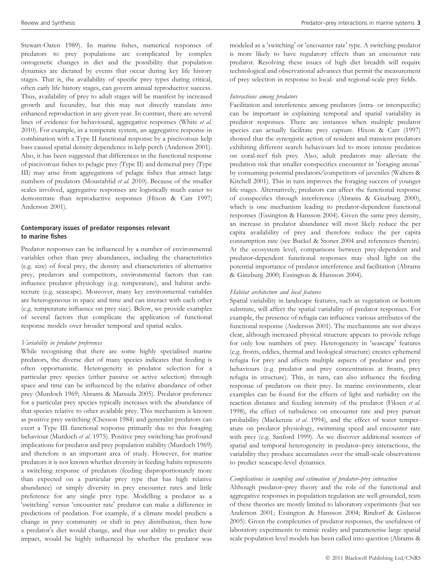Stewart-Oaten 1989). In marine fishes, numerical responses of predators to prey populations are complicated by complex ontogenetic changes in diet and the possibility that population dynamics are dictated by events that occur during key life history stages. That is, the availability of specific prey types during critical, often early life history stages, can govern annual reproductive success. Thus, availability of prey to adult stages will be manifest by increased growth and fecundity, but this may not directly translate into enhanced reproduction in any given year. In contrast, there are several lines of evidence for behavioural, aggregative responses (White et al. 2010). For example, in a temperate system, an aggregative response in combination with a Type II functional response by a piscivorous kelp bass caused spatial density dependence in kelp perch (Anderson 2001). Also, it has been suggested that differences in the functional response of piscivorous fishes to pelagic prey (Type II) and demersal prey (Type III) may arise from aggregations of pelagic fishes that attract large numbers of predators (Moustahfid et al. 2010). Because of the smaller scales involved, aggregative responses are logistically much easier to demonstrate than reproductive responses (Hixon & Carr 1997; Anderson 2001).

# Contemporary issues of predator responses relevant to marine fishes

Predator responses can be influenced by a number of environmental variables other than prey abundances, including the characteristics (e.g. size) of focal prey, the density and characteristics of alternative prey, predators and competitors, environmental factors that can influence predator physiology (e.g. temperature), and habitat architecture (e.g. seascape). Moreover, many key environmental variables are heterogeneous in space and time and can interact with each other (e.g. temperature influence on prey size). Below, we provide examples of several factors that complicate the application of functional response models over broader temporal and spatial scales.

# Variability in predator preferences

While recognising that there are some highly specialised marine predators, the diverse diet of many species indicates that feeding is often opportunistic. Heterogeneity in predator selection for a particular prey species (either passive or active selection) through space and time can be influenced by the relative abundance of other prey (Murdoch 1969; Abrams & Matsuda 2005). Predator preference for a particular prey species typically increases with the abundance of that species relative to other available prey. This mechanism is known as positive prey switching (Chesson 1984) and generalist predators can exert a Type III functional response primarily due to this foraging behaviour (Murdoch et al. 1975). Positive prey switching has profound implications for predator and prey population stability (Murdoch 1969) and therefore is an important area of study. However, for marine predators it is not known whether diversity in feeding habits represents a switching response of predators (feeding disproportionately more than expected on a particular prey type that has high relative abundance) or simply diversity in prey encounter rates and little preference for any single prey type. Modelling a predator as a 'switching' versus 'encounter rate' predator can make a difference in predictions of predation. For example, if a climate model predicts a change in prey community or shift in prey distribution, then how a predator's diet would change, and thus our ability to predict their impact, would be highly influenced by whether the predator was

modeled as a 'switching' or 'encounter rate' type. A switching predator is more likely to have regulatory effects than an encounter rate predator. Resolving these issues of high diet breadth will require technological and observational advances that permit the measurement of prey selection in response to local- and regional-scale prey fields.

#### Interactions among predators

Facilitation and interference among predators (intra- or interspecific) can be important in explaining temporal and spatial variability in predator responses. There are instances when multiple predator species can actually facilitate prey capture. Hixon & Carr (1997) showed that the synergistic action of resident and transient predators exhibiting different search behaviours led to more intense predation on coral-reef fish prey. Also, adult predators may alleviate the predation risk that smaller conspecifics encounter in 'foraging arenas' by consuming potential predators⁄ competitors of juveniles (Walters & Kitchell 2001). This in turn improves the foraging success of younger life stages. Alternatively, predators can affect the functional response of conspecifics through interference (Abrams & Ginzburg 2000), which is one mechanism leading to predator-dependent functional responses (Essington & Hansson 2004). Given the same prey density, an increase in predator abundance will most likely reduce the per capita availability of prey and therefore reduce the per capita consumption rate (see Buckel & Stoner 2004 and references therein). At the ecosystem level, comparisons between prey-dependent and predator-dependent functional responses may shed light on the potential importance of predator interference and facilitation (Abrams & Ginzburg 2000; Essington & Hansson 2004).

#### Habitat architecture and local features

Spatial variability in landscape features, such as vegetation or bottom substrate, will affect the spatial variability of predator responses. For example, the presence of refugia can influence various attributes of the functional response (Anderson 2001). The mechanisms are not always clear, although increased physical structure appears to provide refuge for only low numbers of prey. Heterogeneity in 'seascape' features (e.g. fronts, eddies, thermal and biological structure) creates ephemeral refugia for prey and affects multiple aspects of predator and prey behaviours (e.g. predator and prey concentration at fronts, prey refugia in structure). This, in turn, can also influence the feeding response of predators on their prey. In marine environments, clear examples can be found for the effects of light and turbidity on the reaction distance and feeding intensity of the predator (Fiksen et al. 1998), the effect of turbulence on encounter rate and prey pursuit probability (Mackenzie et al. 1994), and the effect of water temperature on predator physiology, swimming speed and encounter rate with prey (e.g. Sanford 1999). As we discover additional sources of spatial and temporal heterogeneity in predator–prey interactions, the variability they produce accumulates over the small-scale observations to predict seascape-level dynamics.

# Complications in sampling and estimation of predator–prey interaction

Although predator–prey theory and the role of the functional and aggregative responses in population regulation are well grounded, tests of these theories are mostly limited to laboratory experiments (but see Anderson 2001; Essington & Hansson 2004; Rindorf & Gislason 2005). Given the complexities of predator responses, the usefulness of laboratory experiments to mimic reality and parameterise large spatial scale population level models has been called into question (Abrams &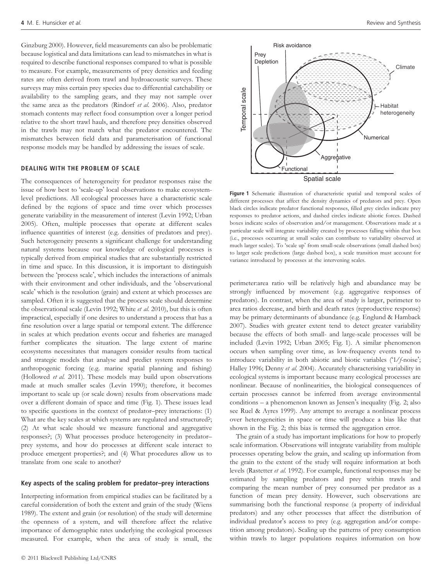Ginzburg 2000). However, field measurements can also be problematic because logistical and data limitations can lead to mismatches in what is required to describe functional responses compared to what is possible to measure. For example, measurements of prey densities and feeding rates are often derived from trawl and hydroacoustic surveys. These surveys may miss certain prey species due to differential catchability or availability to the sampling gears, and they may not sample over the same area as the predators (Rindorf et al. 2006). Also, predator stomach contents may reflect food consumption over a longer period relative to the short trawl hauls, and therefore prey densities observed in the trawls may not match what the predator encountered. The mismatches between field data and parameterisation of functional response models may be handled by addressing the issues of scale.

# DEALING WITH THE PROBLEM OF SCALE

The consequences of heterogeneity for predator responses raise the issue of how best to 'scale-up' local observations to make ecosystemlevel predictions. All ecological processes have a characteristic scale defined by the regions of space and time over which processes generate variability in the measurement of interest (Levin 1992; Urban 2005). Often, multiple processes that operate at different scales influence quantities of interest (e.g. densities of predators and prey). Such heterogeneity presents a significant challenge for understanding natural systems because our knowledge of ecological processes is typically derived from empirical studies that are substantially restricted in time and space. In this discussion, it is important to distinguish between the 'process scale', which includes the interactions of animals with their environment and other individuals, and the 'observational scale' which is the resolution (grain) and extent at which processes are sampled. Often it is suggested that the process scale should determine the observational scale (Levin 1992; White et al. 2010), but this is often impractical, especially if one desires to understand a process that has a fine resolution over a large spatial or temporal extent. The difference in scales at which predation events occur and fisheries are managed further complicates the situation. The large extent of marine ecosystems necessitates that managers consider results from tactical and strategic models that analyse and predict system responses to anthropogenic forcing (e.g. marine spatial planning and fishing) (Hollowed et al. 2011). These models may build upon observations made at much smaller scales (Levin 1990); therefore, it becomes important to scale up (or scale down) results from observations made over a different domain of space and time (Fig. 1). These issues lead to specific questions in the context of predator–prey interactions: (1) What are the key scales at which systems are regulated and structured?; (2) At what scale should we measure functional and aggregative responses?; (3) What processes produce heterogeneity in predator– prey systems, and how do processes at different scale interact to produce emergent properties?; and (4) What procedures allow us to translate from one scale to another?

#### Key aspects of the scaling problem for predator–prey interactions

Interpreting information from empirical studies can be facilitated by a careful consideration of both the extent and grain of the study (Wiens 1989). The extent and grain (or resolution) of the study will determine the openness of a system, and will therefore affect the relative importance of demographic rates underlying the ecological processes measured. For example, when the area of study is small, the



Figure 1 Schematic illustration of characteristic spatial and temporal scales of different processes that affect the density dynamics of predators and prey. Open black circles indicate predator functional responses, filled grey circles indicate prey responses to predator actions, and dashed circles indicate abiotic forces. Dashed boxes indicate scales of observation and/or management. Observations made at a particular scale will integrate variability created by processes falling within that box (i.e., processes occurring at small scales can contribute to variability observed at much larger scales). To 'scale up' from small-scale observations (small dashed box) to larger scale predictions (large dashed box), a scale transition must account for variance introduced by processes at the intervening scales.

perimeter:area ratio will be relatively high and abundance may be strongly influenced by movement (e.g. aggregative responses of predators). In contrast, when the area of study is larger, perimeter to area ratios decrease, and birth and death rates (reproductive response) may be primary determinants of abundance (e.g. Englund & Hamback 2007). Studies with greater extent tend to detect greater variability because the effects of both small- and large-scale processes will be included (Levin 1992; Urban 2005; Fig. 1). A similar phenomenon occurs when sampling over time, as low-frequency events tend to introduce variability in both abiotic and biotic variables ('1/f-noise'; Halley 1996; Denny et al. 2004). Accurately characterising variability in ecological systems is important because many ecological processes are nonlinear. Because of nonlinearities, the biological consequences of certain processes cannot be inferred from average environmental conditions - a phenomenon known as Jensen's inequality (Fig. 2; also see Ruel & Ayres 1999). Any attempt to average a nonlinear process over heterogeneities in space or time will produce a bias like that shown in the Fig. 2; this bias is termed the aggregation error.

The grain of a study has important implications for how to properly scale information. Observations will integrate variability from multiple processes operating below the grain, and scaling up information from the grain to the extent of the study will require information at both levels (Rastetter et al. 1992). For example, functional responses may be estimated by sampling predators and prey within trawls and comparing the mean number of prey consumed per predator as a function of mean prey density. However, such observations are summarising both the functional response (a property of individual predators) and any other processes that affect the distribution of individual predator's access to prey (e.g. aggregation and/or competition among predators). Scaling up the patterns of prey consumption within trawls to larger populations requires information on how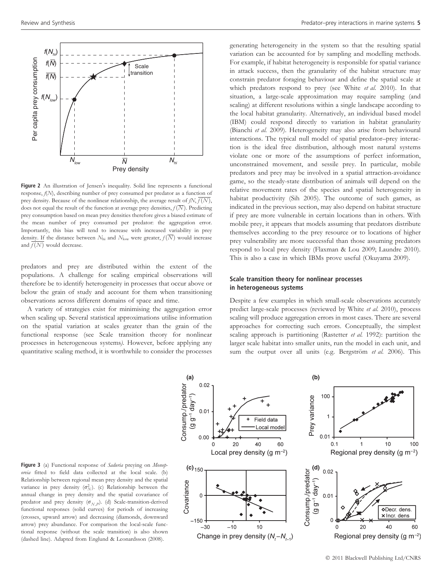

Figure 2 An illustration of Jensen's inequality. Solid line represents a functional response, f(N), describing number of prey consumed per predator as a function of prey density. Because of the nonlinear relationship, the average result of  $fN$ ,  $\overline{f(N)}$ , does not equal the result of the function at average prey densities,  $f(\overline{N})$ . Predicting prey consumption based on mean prey densities therefore gives a biased estimate of the mean number of prey consumed per predator: the aggregation error. Importantly, this bias will tend to increase with increased variability in prey density. If the distance between  $N_{\text{hi}}$  and  $N_{\text{low}}$  were greater,  $f(\overline{N})$  would increase and  $f(N)$  would decrease.

predators and prey are distributed within the extent of the populations. A challenge for scaling empirical observations will therefore be to identify heterogeneity in processes that occur above or below the grain of study and account for them when transitioning observations across different domains of space and time.

A variety of strategies exist for minimising the aggregation error when scaling up. Several statistical approximations utilise information on the spatial variation at scales greater than the grain of the functional response (see Scale transition theory for nonlinear processes in heterogeneous systems). However, before applying any quantitative scaling method, it is worthwhile to consider the processes

generating heterogeneity in the system so that the resulting spatial variation can be accounted for by sampling and modelling methods. For example, if habitat heterogeneity is responsible for spatial variance in attack success, then the granularity of the habitat structure may constrain predator foraging behaviour and define the spatial scale at which predators respond to prey (see White et al. 2010). In that situation, a large-scale approximation may require sampling (and scaling) at different resolutions within a single landscape according to the local habitat granularity. Alternatively, an individual based model (IBM) could respond directly to variation in habitat granularity (Bianchi et al. 2009). Heterogeneity may also arise from behavioural interactions. The typical null model of spatial predator–prey interaction is the ideal free distribution, although most natural systems violate one or more of the assumptions of perfect information, unconstrained movement, and sessile prey. In particular, mobile predators and prey may be involved in a spatial attraction-avoidance game, so the steady-state distribution of animals will depend on the relative movement rates of the species and spatial heterogeneity in habitat productivity (Sih 2005). The outcome of such games, as indicated in the previous section, may also depend on habitat structure if prey are more vulnerable in certain locations than in others. With mobile prey, it appears that models assuming that predators distribute themselves according to the prey resource or to locations of higher prey vulnerability are more successful than those assuming predators respond to local prey density (Flaxman & Lou 2009; Laundre 2010). This is also a case in which IBMs prove useful (Okuyama 2009).

# Scale transition theory for nonlinear processes in heterogeneous systems

Despite a few examples in which small-scale observations accurately predict large-scale processes (reviewed by White et al. 2010), process scaling will produce aggregation errors in most cases. There are several approaches for correcting such errors. Conceptually, the simplest scaling approach is partitioning (Rastetter et al. 1992): partition the larger scale habitat into smaller units, run the model in each unit, and sum the output over all units (e.g. Bergström et al. 2006). This



oreia fitted to field data collected at the local scale. (b) Relationship between regional mean prey density and the spatial variance in prey density  $(\sigma_N^2)$ . (c) Relationship between the annual change in prey density and the spatial covariance of predator and prey density  $(\sigma_{N,P})$ . (d) Scale-transition-derived functional responses (solid curves) for periods of increasing (crosses, upward arrow) and decreasing (diamonds, downward arrow) prey abundance. For comparison the local-scale functional response (without the scale transition) is also shown (dashed line). Adapted from Englund & Leonardsson (2008).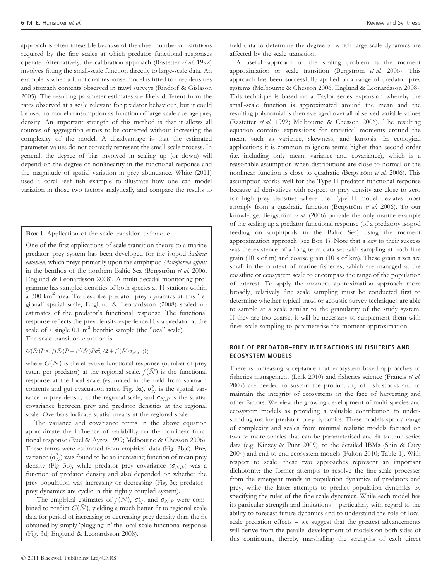approach is often infeasible because of the sheer number of partitions required by the fine scales at which predator functional responses operate. Alternatively, the calibration approach (Rastetter et al. 1992) involves fitting the small-scale function directly to large-scale data. An example is when a functional response model is fitted to prey densities and stomach contents observed in trawl surveys (Rindorf & Gislason 2005). The resulting parameter estimates are likely different from the rates observed at a scale relevant for predator behaviour, but it could be used to model consumption as function of large-scale average prey density. An important strength of this method is that it allows all sources of aggregation errors to be corrected without increasing the complexity of the model. A disadvantage is that the estimated parameter values do not correctly represent the small-scale process. In general, the degree of bias involved in scaling up (or down) will depend on the degree of nonlinearity in the functional response and the magnitude of spatial variation in prey abundance. White (2011) used a coral reef fish example to illustrate how one can model variation in those two factors analytically and compare the results to

Box 1 Application of the scale transition technique

One of the first applications of scale transition theory to a marine predator-prey system has been developed for the isopod Saduria entomon, which preys primarily upon the amphipod Monoporeia affinis in the benthos of the northern Baltic Sea (Bergström et al. 2006; Englund & Leonardsson 2008). A multi-decadal monitoring programme has sampled densities of both species at 11 stations within a 300  $km<sup>2</sup>$  area. To describe predator–prey dynamics at this 'regional' spatial scale, Englund & Leonardsson (2008) scaled up estimates of the predator's functional response. The functional response reflects the prey density experienced by a predator at the scale of a single  $0.1 \text{ m}^2$  benthic sample (the 'local' scale). The scale transition equation is

 $G(\bar{N})\bar{P} \approx f(\bar{N})\bar{P} + f''(\bar{N})\bar{P}\sigma_N^2/2 + f'(\bar{N})\sigma_{N,P}$  (1)

where  $G(\bar{N})$  is the effective functional response (number of prey eaten per predator) at the regional scale,  $\bar{f}(\bar{N})$  is the functional response at the local scale (estimated in the field from stomach contents and gut evacuation rates, Fig. 3a),  $\sigma_N^2$  is the spatial variance in prey density at the regional scale, and  $\sigma_{N,P}$  is the spatial covariance between prey and predator densities at the regional scale. Overbars indicate spatial means at the regional scale.

The variance and covariance terms in the above equation approximate the influence of variability on the nonlinear functional response (Ruel & Ayres 1999; Melbourne & Chesson 2006). These terms were estimated from empirical data (Fig. 3b,c). Prey variance  $(\sigma_N^2)$  was found to be an increasing function of mean prey density (Fig. 3b), while predator–prey covariance  $(\sigma_{N,P})$  was a function of predator density and also depended on whether the prey population was increasing or decreasing (Fig. 3c; predator– prey dynamics are cyclic in this tightly coupled system).

The empirical estimates of  $\tilde{f(N)}$ ,  $\sigma_N^2$ , and  $\sigma_{N,P}$  were combined to predict  $G(\bar{N})$ , yielding a much better fit to regional-scale data for period of increasing or decreasing prey density than the fit obtained by simply 'plugging in' the local-scale functional response (Fig. 3d; Englund & Leonardsson 2008).

field data to determine the degree to which large-scale dynamics are affected by the scale transition.

A useful approach to the scaling problem is the moment approximation or scale transition (Bergström et al. 2006). This approach has been successfully applied to a range of predator–prey systems (Melbourne & Chesson 2006; Englund & Leonardsson 2008). This technique is based on a Taylor series expansion whereby the small-scale function is approximated around the mean and the resulting polynomial is then averaged over all observed variable values (Rastetter et al. 1992; Melbourne & Chesson 2006). The resulting equation contains expressions for statistical moments around the mean, such as variance, skewness, and kurtosis. In ecological applications it is common to ignore terms higher than second order (i.e. including only mean, variance and covariance), which is a reasonable assumption when distributions are close to normal or the nonlinear function is close to quadratic (Bergström et al. 2006). This assumption works well for the Type II predator functional response because all derivatives with respect to prey density are close to zero for high prey densities where the Type II model deviates most strongly from a quadratic function (Bergström et al. 2006). To our knowledge, Bergström et al. (2006) provide the only marine example of the scaling up a predator functional response (of a predatory isopod feeding on amphipods in the Baltic Sea) using the moment approximation approach (see Box 1). Note that a key to their success was the existence of a long-term data set with sampling at both fine grain (10 s of m) and coarse grain (10 s of km). These grain sizes are small in the context of marine fisheries, which are managed at the coastline or ecosystem scale to encompass the range of the population of interest. To apply the moment approximation approach more broadly, relatively fine scale sampling must be conducted first to determine whether typical trawl or acoustic survey techniques are able to sample at a scale similar to the granularity of the study system. If they are too coarse, it will be necessary to supplement them with finer-scale sampling to parameterise the moment approximation.

# ROLE OF PREDATOR–PREY INTERACTIONS IN FISHERIES AND ECOSYSTEM MODELS

There is increasing acceptance that ecosystem-based approaches to fisheries management (Link 2010) and fisheries science (Francis et al. 2007) are needed to sustain the productivity of fish stocks and to maintain the integrity of ecosystems in the face of harvesting and other factors. We view the growing development of multi-species and ecosystem models as providing a valuable contribution to understanding marine predator–prey dynamics. These models span a range of complexity and scales from minimal realistic models focused on two or more species that can be parameterised and fit to time series data (e.g. Kinzey & Punt 2009), to the detailed IBMs (Shin & Cury 2004) and end-to-end ecosystem models (Fulton 2010; Table 1). With respect to scale, these two approaches represent an important dichotomy: the former attempts to resolve the fine-scale processes from the emergent trends in population dynamics of predators and prey, while the latter attempts to predict population dynamics by specifying the rules of the fine-scale dynamics. While each model has its particular strength and limitations – particularly with regard to the ability to forecast future dynamics and to understand the role of local scale predation effects – we suggest that the greatest advancements will derive from the parallel development of models on both sides of this continuum, thereby marshalling the strengths of each direct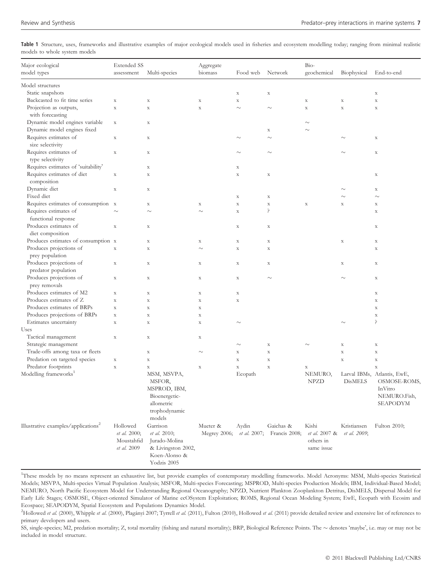| Table 1 Structure, uses, frameworks and illustrative examples of major ecological models used in fisheries and ecosystem modelling today; ranging from minimal realistic |  |  |  |  |  |  |  |  |
|--------------------------------------------------------------------------------------------------------------------------------------------------------------------------|--|--|--|--|--|--|--|--|
| models to whole system models                                                                                                                                            |  |  |  |  |  |  |  |  |

| Major ecological<br>model types                 | <b>Extended SS</b><br>assessment | Multi-species      | Aggregate<br>biomass | Food web                   | Network       | Bio-<br>geochemical | Biophysical    | End-to-end                  |
|-------------------------------------------------|----------------------------------|--------------------|----------------------|----------------------------|---------------|---------------------|----------------|-----------------------------|
|                                                 |                                  |                    |                      |                            |               |                     |                |                             |
| Model structures<br>Static snapshots            |                                  |                    |                      |                            |               |                     |                |                             |
| Backcasted to fit time series                   | $\mathbf X$                      | $\mathbf X$        | $\mathbf X$          | $\mathbf X$<br>$\mathbf X$ | $\mathbf X$   | $\mathbf X$         | $\mathbf X$    | $\mathbf X$<br>$\mathbf X$  |
| Projection as outputs,                          | $\mathbf X$                      | $\mathbf X$        | $\mathbf X$          | $\sim$                     | $\sim$        | $\mathbf X$         | $\mathbf X$    | $\mathbf X$                 |
| with forecasting                                |                                  |                    |                      |                            |               |                     |                |                             |
| Dynamic model engines variable                  | $\mathbf X$                      | $\mathbf X$        |                      |                            |               | $\sim$              |                |                             |
| Dynamic model engines fixed                     |                                  |                    |                      |                            | $\mathbf X$   | $\sim$              |                |                             |
| Requires estimates of                           | $\mathbf X$                      | $\mathbf X$        |                      | $\sim$                     | $\sim$        |                     | $\sim$         | $\mathbf X$                 |
| size selectivity                                |                                  |                    |                      |                            |               |                     |                |                             |
| Requires estimates of                           | $\mathbf X$                      | $\mathbf X$        |                      | $\sim$                     | $\sim$        |                     | $\sim$         | $\mathbf X$                 |
| type selectivity                                |                                  |                    |                      |                            |               |                     |                |                             |
| Requires estimates of 'suitability'             |                                  | $\mathbf X$        |                      | $\mathbf X$                |               |                     |                |                             |
| Requires estimates of diet                      | $\mathbf X$                      | $\mathbf X$        |                      | $\mathbf X$                | $\mathbf X$   |                     |                | $\mathbf X$                 |
| composition                                     |                                  |                    |                      |                            |               |                     |                |                             |
| Dynamic diet                                    | $\mathbf X$                      | $\mathbf X$        |                      |                            |               |                     | $\sim$         | $\mathbf X$                 |
| Fixed diet                                      |                                  |                    |                      | $\mathbf X$                | $\mathbf X$   |                     | $\sim$         | $\sim$                      |
| Requires estimates of consumption x             |                                  | $\mathbf X$        | $\mathbf X$          | $\mathbf X$                | $\mathbf X$   | $\mathbf X$         | $\mathbf X$    | $\mathbf X$                 |
| Requires estimates of                           | $\sim$                           | $\sim$             | $\sim$               | $\mathbf X$                | 3.            |                     |                | $\mathbf X$                 |
| functional response                             |                                  |                    |                      |                            |               |                     |                |                             |
| Produces estimates of                           | $\mathbf X$                      | $\mathbf X$        |                      | $\mathbf X$                | $\mathbf X$   |                     |                | $\mathbf X$                 |
| diet composition                                |                                  |                    |                      |                            |               |                     |                |                             |
| Produces estimates of consumption x             |                                  | $\mathbf X$        | $\mathbf X$          | $\mathbf X$                | $\mathbf X$   |                     | $\mathbf X$    | $\mathbf X$                 |
| Produces projections of                         | $\mathbf X$                      | $\mathbf X$        | $\sim$               | $\mathbf X$                | $\mathbf X$   |                     |                | $\mathbf X$                 |
| prey population                                 |                                  |                    |                      |                            |               |                     |                |                             |
| Produces projections of                         | $\mathbf X$                      | $\mathbf X$        | $\mathbf X$          | $\mathbf X$                | $\mathbf X$   |                     | $\mathbf X$    | $\mathbf X$                 |
| predator population                             |                                  |                    |                      |                            |               |                     |                |                             |
| Produces projections of                         | $\mathbf X$                      | $\mathbf X$        | $\mathbf X$          | $\mathbf X$                | $\sim$        |                     | $\sim$         | $\mathbf X$                 |
| prey removals                                   |                                  |                    |                      |                            |               |                     |                |                             |
| Produces estimates of M2                        | $\mathbf X$                      | $\mathbf X$        | $\mathbf X$          | $\mathbf X$                |               |                     |                | $\mathbf X$                 |
| Produces estimates of Z                         | $\mathbf X$                      | $\mathbf X$        | $\mathbf X$          | $\mathbf X$                |               |                     |                | $\mathbf X$                 |
| Produces estimates of BRPs                      | $\mathbf X$                      | $\mathbf X$        | $\mathbf X$          |                            |               |                     |                | $\mathbf X$                 |
| Produces projections of BRPs                    | $\mathbf X$                      | $\mathbf X$        | $\mathbf X$          |                            |               |                     |                | $\mathbf X$                 |
| Estimates uncertainty                           | $\mathbf X$                      | $\mathbf X$        | $\mathbf X$          | $\sim$                     |               |                     | $\sim$         | ?                           |
| Uses                                            |                                  |                    |                      |                            |               |                     |                |                             |
| Tactical management                             | $\mathbf X$                      | $\mathbf X$        | $\mathbf X$          |                            |               |                     |                |                             |
| Strategic management                            |                                  |                    |                      | $\sim$                     | $\mathbf X$   | $\sim$              | $\mathbf X$    | $\mathbf X$                 |
| Trade-offs among taxa or fleets                 |                                  | $\mathbf X$        | $\sim$               | $\mathbf X$                | $\mathbf X$   |                     | $\mathbf X$    | $\mathbf X$                 |
| Predation on targeted species                   | $\mathbf X$                      | $\mathbf X$        |                      | $\mathbf X$                | $\mathbf X$   |                     | $\mathbf X$    | $\mathbf X$                 |
| Predator footprints                             | $\mathbf X$                      | $\mathbf X$        | $\mathbf X$          | $\mathbf X$                | $\mathbf X$   | $\mathbf X$         |                | $\mathbf X$                 |
| Modelling frameworks <sup>1</sup>               |                                  | MSM, MSVPA,        |                      | Ecopath                    |               | NEMURO,             |                | Larval IBMs, Atlantis, EwE, |
|                                                 |                                  | MSFOR,             |                      |                            |               | <b>NPZD</b>         | <b>DisMELS</b> | OSMOSE-ROMS.                |
|                                                 |                                  | MSPROD, IBM,       |                      |                            |               |                     |                | InVitro                     |
|                                                 |                                  | Bioenergetic-      |                      |                            |               |                     |                | NEMURO.Fish,                |
|                                                 |                                  | allometric         |                      |                            |               |                     |                | SEAPODYM                    |
|                                                 |                                  | trophodynamic      |                      |                            |               |                     |                |                             |
|                                                 |                                  | models             |                      |                            |               |                     |                |                             |
| Illustrative examples/applications <sup>2</sup> | Hollowed                         | Garrison           | Mueter &             | Aydin                      | Gaichas &     | Kishi               | Kristiansen    | Fulton 2010;                |
|                                                 | et al. 2000;                     | et al. 2010;       | Megrey 2006;         | et al. 2007;               | Francis 2008; | et al. 2007 &       | et al. 2009;   |                             |
|                                                 | Moustahfid                       | Jurado-Molina      |                      |                            |               | others in           |                |                             |
|                                                 | et al. 2009                      | & Livingston 2002, |                      |                            |               | same issue          |                |                             |
|                                                 |                                  | Koen-Alonso &      |                      |                            |               |                     |                |                             |
|                                                 |                                  | Yodzis 2005        |                      |                            |               |                     |                |                             |

<sup>1</sup>These models by no means represent an exhaustive list, but provide examples of contemporary modelling frameworks. Model Acronyms: MSM, Multi-species Statistical Models; MSVPA, Multi-species Virtual Population Analysis; MSFOR, Multi-species Forecasting; MSPROD, Multi-species Production Models; IBM, Individual-Based Model; NEMURO, North Pacific Ecosystem Model for Understanding Regional Oceanography; NPZD, Nutrient Plankton Zooplankton Detritus, DisMELS, Dispersal Model for Early Life Stages; OSMOSE, Object-oriented Simulator of Marine ecOSystem Exploitation; ROMS, Regional Ocean Modeling System; EwE, Ecopath with Ecosim and Ecospace; SEAPODYM, Spatial Ecosystem and Populations Dynamics Model.

<sup>2</sup>Hollowed et al. (2000), Whipple et al. (2000), Plagányi 2007; Tyrrell et al. (2011), Fulton (2010), Hollowed et al. (2011) provide detailed review and extensive list of references to primary developers and users.

SS, single-species; M2, predation mortality; Z, total mortality (fishing and natural mortality); BRP, Biological Reference Points. The  $\sim$  denotes 'maybe', i.e. may or may not be included in model structure.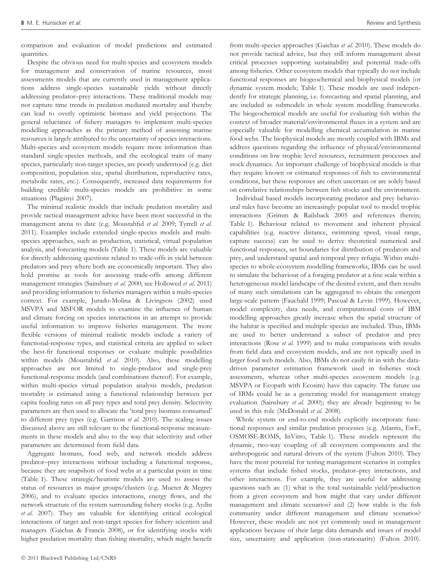comparison and evaluation of model predictions and estimated quantities.

Despite the obvious need for multi-species and ecosystem models for management and conservation of marine resources, most assessments models that are currently used in management applications address single-species sustainable yields without directly addressing predator–prey interactions. These traditional models may not capture time trends in predation mediated mortality and thereby can lead to overly optimistic biomass and yield projections. The general reluctance of fishery managers to implement multi-species modelling approaches as the primary method of assessing marine resources is largely attributed to the uncertainty of species interactions. Multi-species and ecosystem models require more information than standard single-species methods, and the ecological traits of many species, particularly non-target species, are poorly understood (e.g. diet composition, population size, spatial distribution, reproductive rates, metabolic rates, etc.). Consequently, increased data requirements for building credible multi-species models are prohibitive in some situations (Plagányi 2007).

The minimal realistic models that include predation mortality and provide tactical management advice have been most successful in the management arena to date (e.g. Moustahfid et al. 2009; Tyrrell et al. 2011). Examples include extended single-species models and multispecies approaches, such as production, statistical, virtual population analysis, and forecasting models (Table 1). These models are valuable for directly addressing questions related to trade-offs in yield between predators and prey where both are economically important. They also hold promise as tools for assessing trade-offs among different management strategies (Sainsbury et al. 2000; see Hollowed et al. 2011) and providing information to fisheries managers within a multi-species context. For example, Jurado-Molina & Livingson (2002) used MSVPA and MSFOR models to examine the influence of human and climate forcing on species interactions in an attempt to provide useful information to improve fisheries management. The more flexible versions of minimal realistic models include a variety of functional-response types, and statistical criteria are applied to select the best-fit functional responses or evaluate multiple possibilities within models (Moustahfid et al. 2010). Also, these modelling approaches are not limited to single-predator and single-prey functional-response models (and combinations thereof). For example, within multi-species virtual population analysis models, predation mortality is estimated using a functional relationship between per capita feeding rates on all prey types and total prey density. Selectivity parameters are then used to allocate the 'total prey biomass consumed' to different prey types (e.g. Garrison et al. 2010). The scaling issues discussed above are still relevant to the functional-response measurements in these models and also to the way that selectivity and other parameters are determined from field data.

Aggregate biomass, food web, and network models address predator–prey interactions without including a functional response, because they are snapshots of food webs at a particular point in time (Table 1). These strategic ⁄ heuristic models are used to assess the status of resources as major groups⁄ clusters (e.g. Mueter & Megrey 2006), and to evaluate species interactions, energy flows, and the network structure of the system surrounding fishery stocks (e.g. Aydin et al. 2007). They are valuable for identifying critical ecological interactions of target and non-target species for fishery scientists and managers (Gaichas & Francis 2008), or for identifying stocks with higher predation mortality than fishing mortality, which might benefit

from multi-species approaches (Gaichas et al. 2010). These models do not provide tactical advice, but they still inform management about critical processes supporting sustainability and potential trade-offs among fisheries. Other ecosystem models that typically do not include functional responses are biogeochemical and biophysical models (or dynamic system models; Table 1). These models are used independently for strategic planning, i.e. forecasting and spatial planning, and are included as submodels in whole system modelling frameworks. The biogeochemical models are useful for evaluating fish within the context of broader material/environmental fluxes in a system and are especially valuable for modelling chemical accumulation in marine food webs. The biophysical models are mostly coupled with IBMs and address questions regarding the influence of physical/environmental conditions on low trophic level resources, recruitment processes and stock dynamics. An important challenge of biophysical models is that they require known or estimated responses of fish to environmental conditions, but these responses are often uncertain or are solely based on correlative relationships between fish stocks and the environment.

Individual based models incorporating predator and prey behavioural rules have become an increasingly popular tool to model trophic interactions (Grimm & Railsback 2005 and references therein; Table 1). Behaviour related to movement and inherent physical capabilities (e.g. reactive distance, swimming speed, visual range, capture success) can be used to derive theoretical numerical and functional responses, set boundaries for distribution of predators and prey, and understand spatial and temporal prey refugia. Within multispecies to whole-ecosystem modelling frameworks, IBMs can be used to simulate the behaviour of a foraging predator at a fine scale within a heterogeneous model landscape of the desired extent, and then results of many such simulations can be aggregated to obtain the emergent large-scale pattern (Fauchald 1999; Pascual & Levin 1999). However, model complexity, data needs, and computational costs of IBM modelling approaches greatly increase when the spatial structure of the habitat is specified and multiple species are included. Thus, IBMs are used to better understand a subset of predator and prey interactions (Rose et al. 1999) and to make comparisons with results from field data and ecosystem models, and are not typically used in larger food web models. Also, IBMs do not easily fit in with the datadriven parameter estimation framework used in fisheries stock assessments, whereas other multi-species ecosystem models (e.g. MSVPA or Ecopath with Ecosim) have this capacity. The future use of IBMs could be as a generating model for management strategy evaluation (Sainsbury et al. 2000); they are already beginning to be used in this role (McDonald et al. 2008).

Whole system or end-to-end models explicitly incorporate functional responses and similar predation processes (e.g. Atlantis, EwE, OSMOSE-ROMS, InVitro, Table 1). These models represent the dynamic, two-way coupling of all ecosystem components and the anthropogenic and natural drivers of the system (Fulton 2010). They have the most potential for testing management scenarios in complex systems that include fished stocks, predator–prey interactions, and other interactions. For example, they are useful for addressing questions such as: (1) what is the total sustainable yield/production from a given ecosystem and how might that vary under different management and climate scenarios? and (2) how stable is the fish community under different management and climate scenarios? However, these models are not yet commonly used in management applications because of their large data demands and issues of model size, uncertainty and application (non-stationarity) (Fulton 2010).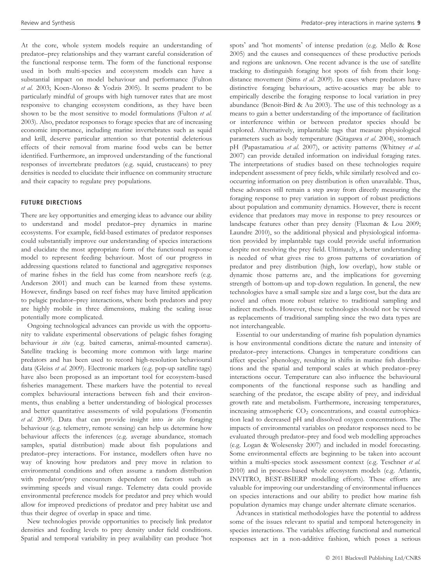At the core, whole system models require an understanding of predator–prey relationships and they warrant careful consideration of the functional response term. The form of the functional response used in both multi-species and ecosystem models can have a substantial impact on model behaviour and performance (Fulton et al. 2003; Koen-Alonso & Yodzis 2005). It seems prudent to be particularly mindful of groups with high turnover rates that are most responsive to changing ecosystem conditions, as they have been shown to be the most sensitive to model formulations (Fulton et al. 2003). Also, predator responses to forage species that are of increasing economic importance, including marine invertebrates such as squid and krill, deserve particular attention so that potential deleterious effects of their removal from marine food webs can be better identified. Furthermore, an improved understanding of the functional responses of invertebrate predators (e.g. squid, crustaceans) to prey densities is needed to elucidate their influence on community structure and their capacity to regulate prey populations.

# FUTURE DIRECTIONS

There are key opportunities and emerging ideas to advance our ability to understand and model predator–prey dynamics in marine ecosystems. For example, field-based estimates of predator responses could substantially improve our understanding of species interactions and elucidate the most appropriate form of the functional response model to represent feeding behaviour. Most of our progress in addressing questions related to functional and aggregative responses of marine fishes in the field has come from nearshore reefs (e.g. Anderson 2001) and much can be learned from these systems. However, findings based on reef fishes may have limited application to pelagic predator–prey interactions, where both predators and prey are highly mobile in three dimensions, making the scaling issue potentially more complicated.

Ongoing technological advances can provide us with the opportunity to validate experimental observations of pelagic fishes foraging behaviour in situ (e.g. baited cameras, animal-mounted cameras). Satellite tracking is becoming more common with large marine predators and has been used to record high-resolution behavioural data (Gleiss et al. 2009). Electronic markers (e.g. pop-up satellite tags) have also been proposed as an important tool for ecosystem-based fisheries management. These markers have the potential to reveal complex behavioural interactions between fish and their environments, thus enabling a better understanding of biological processes and better quantitative assessments of wild populations (Fromentin et al. 2009). Data that can provide insight into in situ foraging behaviour (e.g. telemetry, remote sensing) can help us determine how behaviour affects the inferences (e.g. average abundance, stomach samples, spatial distribution) made about fish populations and predator–prey interactions. For instance, modellers often have no way of knowing how predators and prey move in relation to environmental conditions and often assume a random distribution with predator⁄ prey encounters dependent on factors such as swimming speeds and visual range. Telemetry data could provide environmental preference models for predator and prey which would allow for improved predictions of predator and prey habitat use and thus their degree of overlap in space and time.

New technologies provide opportunities to precisely link predator densities and feeding levels to prey density under field conditions. Spatial and temporal variability in prey availability can produce 'hot

spots' and 'hot moments' of intense predation (e.g. Mello & Rose 2005) and the causes and consequences of these productive periods and regions are unknown. One recent advance is the use of satellite tracking to distinguish foraging hot spots of fish from their longdistance movement (Sims et al. 2009). In cases where predators have distinctive foraging behaviours, active-acoustics may be able to empirically describe the foraging response to local variation in prey abundance (Benoit-Bird & Au 2003). The use of this technology as a means to gain a better understanding of the importance of facilitation or interference within or between predator species should be explored. Alternatively, implantable tags that measure physiological parameters such as body temperature (Kitagawa et al. 2004), stomach pH (Papastamatiou et al. 2007), or activity patterns (Whitney et al. 2007) can provide detailed information on individual foraging rates. The interpretations of studies based on these technologies require independent assessment of prey fields, while similarly resolved and cooccurring information on prey distribution is often unavailable. Thus, these advances still remain a step away from directly measuring the foraging response to prey variation in support of robust predictions about population and community dynamics. However, there is recent evidence that predators may move in response to prey resources or landscape features other than prey density (Flaxman & Lou 2009; Laundre 2010), so the additional physical and physiological information provided by implantable tags could provide useful information despite not resolving the prey field. Ultimately, a better understanding is needed of what gives rise to gross patterns of covariation of predator and prey distribution (high, low overlap), how stable or dynamic those patterns are, and the implications for governing strength of bottom-up and top-down regulation. In general, the new technologies have a small sample size and a large cost, but the data are novel and often more robust relative to traditional sampling and indirect methods. However, these technologies should not be viewed as replacements of traditional sampling since the two data types are not interchangeable.

Essential to our understanding of marine fish population dynamics is how environmental conditions dictate the nature and intensity of predator–prey interactions. Changes in temperature conditions can affect species' phenology, resulting in shifts in marine fish distributions and the spatial and temporal scales at which predator–prey interactions occur. Temperature can also influence the behavioural components of the functional response such as handling and searching of the predator, the escape ability of prey, and individual growth rate and metabolism. Furthermore, increasing temperatures, increasing atmospheric  $CO<sub>2</sub>$  concentrations, and coastal eutrophication lead to decreased pH and dissolved oxygen concentrations. The impacts of environmental variables on predator responses need to be evaluated through predator–prey and food web modelling approaches (e.g. Logan & Wolesensky 2007) and included in model forecasting. Some environmental effects are beginning to be taken into account within a multi-species stock assessment context (e.g. Teschner et al. 2010) and in process-based whole ecosystem models (e.g. Atlantis, INVITRO, BEST-BSIERP modelling efforts). These efforts are valuable for improving our understanding of environmental influences on species interactions and our ability to predict how marine fish population dynamics may change under alternate climate scenarios.

Advances in statistical methodologies have the potential to address some of the issues relevant to spatial and temporal heterogeneity in species interactions. The variables affecting functional and numerical responses act in a non-additive fashion, which poses a serious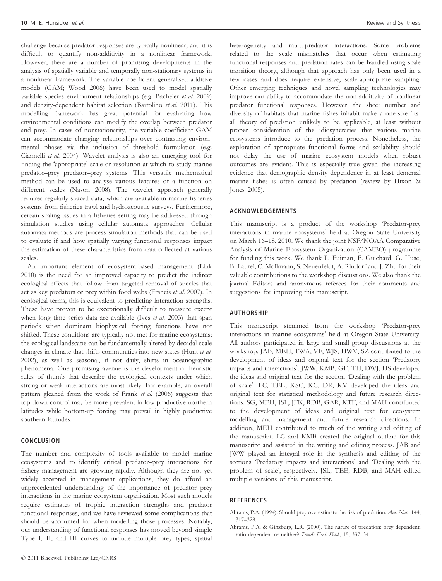challenge because predator responses are typically nonlinear, and it is difficult to quantify non-additivity in a nonlinear framework. However, there are a number of promising developments in the analysis of spatially variable and temporally non-stationary systems in a nonlinear framework. The variable coefficient generalised additive models (GAM; Wood 2006) have been used to model spatially variable species environment relationships (e.g. Bacheler et al. 2009) and density-dependent habitat selection (Bartolino et al. 2011). This modelling framework has great potential for evaluating how environmental conditions can modify the overlap between predator and prey. In cases of nonstationarity, the variable coefficient GAM can accommodate changing relationships over contrasting environmental phases via the inclusion of threshold formulation (e.g. Ciannelli et al. 2004). Wavelet analysis is also an emerging tool for finding the 'appropriate' scale or resolution at which to study marine predator–prey predator–prey systems. This versatile mathematical method can be used to analyse various features of a function on different scales (Nason 2008). The wavelet approach generally requires regularly spaced data, which are available in marine fisheries systems from fisheries trawl and hydroacoustic surveys. Furthermore, certain scaling issues in a fisheries setting may be addressed through simulation studies using cellular automata approaches. Cellular automata methods are process simulation methods that can be used to evaluate if and how spatially varying functional responses impact the estimation of these characteristics from data collected at various scales.

An important element of ecosystem-based management (Link 2010) is the need for an improved capacity to predict the indirect ecological effects that follow from targeted removal of species that act as key predators or prey within food webs (Francis et al. 2007). In ecological terms, this is equivalent to predicting interaction strengths. These have proven to be exceptionally difficult to measure except when long time series data are available (Ives et al. 2003) that span periods when dominant biophysical forcing functions have not shifted. These conditions are typically not met for marine ecosystems; the ecological landscape can be fundamentally altered by decadal-scale changes in climate that shifts communities into new states (Hunt et al. 2002), as well as seasonal, if not daily, shifts in oceanographic phenomena. One promising avenue is the development of heuristic rules of thumb that describe the ecological contexts under which strong or weak interactions are most likely. For example, an overall pattern gleaned from the work of Frank et al. (2006) suggests that top-down control may be more prevalent in low productive northern latitudes while bottom-up forcing may prevail in highly productive southern latitudes.

# CONCLUSION

The number and complexity of tools available to model marine ecosystems and to identify critical predator–prey interactions for fishery management are growing rapidly. Although they are not yet widely accepted in management applications, they do afford an unprecedented understanding of the importance of predator–prey interactions in the marine ecosystem organisation. Most such models require estimates of trophic interaction strengths and predator functional responses, and we have reviewed some complications that should be accounted for when modelling those processes. Notably, our understanding of functional responses has moved beyond simple Type I, II, and III curves to include multiple prey types, spatial

heterogeneity and multi-predator interactions. Some problems related to the scale mismatches that occur when estimating functional responses and predation rates can be handled using scale transition theory, although that approach has only been used in a few cases and does require extensive, scale-appropriate sampling. Other emerging techniques and novel sampling technologies may improve our ability to accommodate the non-additivity of nonlinear predator functional responses. However, the sheer number and diversity of habitats that marine fishes inhabit make a one-size-fitsall theory of predation unlikely to be applicable, at least without proper consideration of the idiosyncrasies that various marine ecosystems introduce to the predation process. Nonetheless, the exploration of appropriate functional forms and scalability should not delay the use of marine ecosystem models when robust outcomes are evident. This is especially true given the increasing evidence that demographic density dependence in at least demersal marine fishes is often caused by predation (review by Hixon & Jones 2005).

#### ACKNOWLEDGEMENTS

This manuscript is a product of the workshop 'Predator-prey interactions in marine ecosystems' held at Oregon State University on March 16–18, 2010. We thank the joint NSF/NOAA Comparative Analysis of Marine Ecosystem Organization (CAMEO) programme for funding this work. We thank L. Fuiman, F. Guichard, G. Huse, B. Laurel, C. Möllmann, S. Neuenfeldt, A. Rindorf and J. Zhu for their valuable contributions to the workshop discussions. We also thank the journal Editors and anonymous referees for their comments and suggestions for improving this manuscript.

# **AUTHORSHIP**

This manuscript stemmed from the workshop 'Predator-prey interactions in marine ecosystems' held at Oregon State University. All authors participated in large and small group discussions at the workshop. JAB, MEH, TWA, VF, WJS, HWV, SZ contributed to the development of ideas and original text for the section Predatory impacts and interactions'. JWW, KMB, GE, TH, DWJ, HS developed the ideas and original text for the section Dealing with the problem of scale'. LC, TEE, KSC, KC, DR, KV developed the ideas and original text for statistical methodology and future research directions. SG, MEH, JSL, JFK, RDB, GAR, KTF, and MAH contributed to the development of ideas and original text for ecosystem modelling and management and future research directions. In addition, MEH contributed to much of the writing and editing of the manuscript. LC and KMB created the original outline for this manuscript and assisted in the writing and editing process. JAB and JWW played an integral role in the synthesis and editing of the sections 'Predatory impacts and interactions' and 'Dealing with the problem of scale', respectively. JSL, TEE, RDB, and MAH edited multiple versions of this manuscript.

# **REFERENCES**

- Abrams, P.A. (1994). Should prey overestimate the risk of predation. Am. Nat., 144, 317–328.
- Abrams, P.A. & Ginzburg, L.R. (2000). The nature of predation: prey dependent, ratio dependent or neither? Trends Ecol. Evol., 15, 337–341.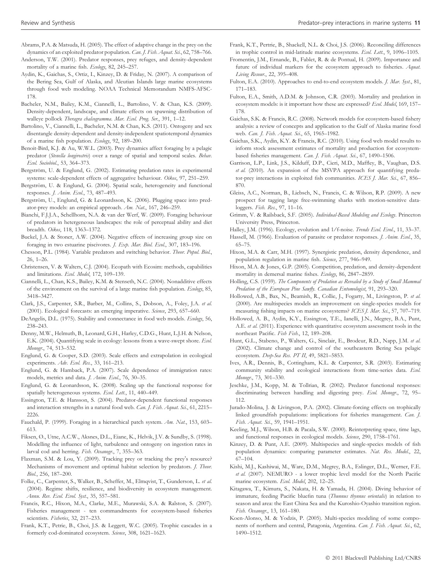- Abrams, P.A. & Matsuda, H. (2005). The effect of adaptive change in the prey on the dynamics of an exploited predator population. Can. J. Fish. Aquat. Sci., 62, 758-766.
- Anderson, T.W. (2001). Predator responses, prey refuges, and density-dependent mortality of a marine fish. Ecology, 82, 245–257.
- Aydin, K., Gaichas, S., Ortiz, I., Kinzey, D. & Friday, N. (2007). A comparison of the Bering Sea, Gulf of Alaska, and Aleutian Islands large marine ecosystems through food web modeling. NOAA Technical Memorandum NMFS-AFSC-178.
- Bacheler, N.M., Bailey, K.M., Ciannelli, L., Bartolino, V. & Chan, K.S. (2009). Density-dependent, landscape, and climate effects on spawning distribution of walleye pollock Theragra chalcogramma. Mar. Ecol. Prog. Ser., 391, 1-12.
- Bartolino, V., Ciannelli, L., Bacheler, N.M. & Chan, K.S. (2011). Ontogeny and sex disentangle density-dependent and density-independent spatiotemporal dynamics of a marine fish population. Ecology, 92, 189–200.
- Benoit-Bird, K.J. & Au, W.W.L. (2003). Prey dynamics affect foraging by a pelagic predator (Stenella longirostris) over a range of spatial and temporal scales. Behav. Ecol. Sociobiol., 53, 364–373.
- Bergström, U. & Englund, G. (2002). Estimating predation rates in experimental systems: scale-dependent effects of aggregative behaviour. Oikos, 97, 251–259.
- Bergström, U. & Englund, G. (2004). Spatial scale, heterogeneity and functional responses. J. Anim. Ecol., 73, 487–493.
- Bergström, U., Englund, G. & Leonardsson, K. (2006). Plugging space into predator-prey models: an empirical approach. Am. Nat., 167, 246–259.
- Bianchi, F.J.J.A., Schellhorn, N.A. & van der Werf, W. (2009). Foraging behaviour of predators in hetergeneous landscapes: the role of perceptual ability and diet breadth. Oikos, 118, 1363–1372.
- Buckel, J.A. & Stoner, A.W. (2004). Negative effects of increasing group size on foraging in two estuarine piscivores. J. Exp. Mar. Biol. Ecol., 307, 183–196.
- Chesson, P.L. (1984). Variable predators and switching behavior. Theor. Popul. Biol., 26, 1–26.
- Christensen, V. & Walters, C.J. (2004). Ecopath with Ecosim: methods, capabilities and limitations. Ecol. Model, 172, 109-139.
- Ciannelli, L., Chan, K.S., Bailey, K.M. & Stenseth, N.C. (2004). Nonadditive effects of the environment on the survival of a large marine fish population. Ecology, 85, 3418–3427.
- Clark, J.S., Carpenter, S.R., Barber, M., Collins, S., Dobson, A., Foley, J.A. et al. (2001). Ecological forecasts: an emerging imperative. Science, 293, 657-660.
- DeAngelis, D.L. (1975). Stability and connectance in food web models. Ecology, 56, 238–243.
- Denny, M.W., Helmuth, B., Leonard, G.H., Harley, C.D.G., Hunt, L.J.H. & Nelson, E.K. (2004). Quantifying scale in ecology: lessons from a wave-swept shore. Ecol. Monogr., 74, 513–532.
- Englund, G. & Cooper, S.D. (2003). Scale effects and extrapolation in ecological experiments. Adv. Ecol. Res., 33, 161-213.
- Englund, G. & Hamback, P.A. (2007). Scale dependence of immigration rates: models, metrics and data. J. Anim. Ecol., 76, 30–35.
- Englund, G. & Leonardsson, K. (2008). Scaling up the functional response for spatially heterogeneous systems. Ecol. Lett., 11, 440-449.
- Essington, T.E. & Hansson, S. (2004). Predator-dependent functional responses and interaction strengths in a natural food web. Can. J. Fish. Aquat. Sci., 61, 2215– 2226.
- Fauchald, P. (1999). Foraging in a hierarchical patch system. Am. Nat., 153, 603– 613.
- Fiksen, Ø., Utne, A.C.W., Aksnes, D.L., Eiane, K., Helvik, J.V. & Sundby, S. (1998). Modelling the influence of light, turbulence and ontogeny on ingestion rates in larval cod and herring. Fish. Oceanogr., 7, 355-363.
- Flaxman, S.M. & Lou, Y. (2009). Tracking prey or tracking the prey's resource? Mechanisms of movement and optimal habitat selection by predators. J. Theor. Biol., 256, 187–200.
- Folke, C., Carpenter, S., Walker, B., Scheffer, M., Elmqvist, T., Gunderson, L. et al. (2004). Regime shifts, resilience, and biodiversity in ecosystem management. Annu. Rev. Ecol. Evol. Syst., 35, 557-581.
- Francis, R.C., Hixon, M.A., Clarke, M.E., Murawski, S.A. & Ralston, S. (2007). Fisheries management - ten commandments for ecosystem-based fisheries scientists. Fisheries, 32, 217–233.
- Frank, K.T., Petrie, B., Choi, J.S. & Leggett, W.C. (2005). Trophic cascades in a formerly cod-dominated ecosystem. Science, 308, 1621–1623.
- Frank, K.T., Pertrie, B., Shackell, N.L. & Choi, J.S. (2006). Reconciling differences in trophic control in mid-latitude marine ecosystems. Ecol. Lett., 9, 1096–1105.
- Fromentin, J.M., Ernande, B., Fablet, R. & de Pontual, H. (2009). Importance and future of individual markers for the ecosystem approach to fisheries. Aquat. Living Resour., 22, 395–408.
- Fulton, E.A. (2010). Approaches to end-to-end ecosystem models. *J. Mar. Syst.*, 81, 171–183.
- Fulton, E.A., Smith, A.D.M. & Johnson, C.R. (2003). Mortality and predation in ecosystem models: is it important how these are expressed? Ecol. Model, 169, 157-178.
- Gaichas, S.K. & Francis, R.C. (2008). Network models for ecosystem-based fishery analysis: a review of concepts and application to the Gulf of Alaska marine food web. Can. J. Fish. Aquat. Sci., 65, 1965-1982.
- Gaichas, S.K., Aydin, K.Y. & Francis, R.C. (2010). Using food web model results to inform stock assessment estimates of mortality and production for ecosystembased fisheries management. Can. J. Fish. Aquat. Sci., 67, 1490-1506.
- Garrison, L.P., Link, J.S., Kilduff, D.P., Cieri, M.D., Maffley, B., Vaughan, D.S. et al. (2010). An expansion of the MSVPA approach for quantifying predator-prey interactions in exploited fish communities. ICES J. Mar. Sci., 67, 856– 870.
- Gleiss, A.C., Norman, B., Liebsch, N., Francis, C. & Wilson, R.P. (2009). A new prospect for tagging large free-swimming sharks with motion-sensitive dataloggers. Fish. Res., 97, 11–16.
- Grimm, V. & Railsback, S.F. (2005). Individual-Based Modeling and Ecology. Princeton University Press, Princeton.
- Halley, J.M. (1996). Ecology, evolution and 1/f-noise. Trends Ecol. Evol., 11, 33-37.
- Hassell, M. (1966). Evaluation of parasite or predator responses. J. Anim. Ecol., 35, 65–75.
- Hixon, M.A. & Carr, M.H. (1997). Synergistic predation, density dependence, and population regulation in marine fish. Science, 277, 946-949.
- Hixon, M.A. & Jones, G.P. (2005). Competition, predation, and density-dependent mortality in demersal marine fishes. Ecology, 86, 2847–2859.
- Holling, C.S. (1959). The Components of Predation as Revealed by a Study of Small Mammal Predation of the European Pine Sawfly. Canadian Entomologist, 91, 293–320.
- Hollowed, A.B., Bax, N., Beamish, R., Collie, J., Fogarty, M., Livingston, P. et al. (2000). Are multispecies models an improvement on single-species models for measuring fishing impacts on marine ecosystems? ICES J. Mar. Sci., 57, 707-719.
- Hollowed, A. B., Aydin, K.Y., Essington, T.E., Ianelli, J.N., Megrey, B.A., Punt, A.E. et al. (2011). Experience with quantitative ecosystem assessment tools in the northeast Pacific. Fish Fish., 12, 189–208.
- Hunt, G.L., Stabeno, P., Walters, G., Sinclair, E., Brodeur, R.D., Napp, J.M. et al. (2002). Climate change and control of the southeastern Bering Sea pelagic ecosystem. Deep-Sea Res. PT II, 49, 5821-5853.
- Ives, A.R., Dennis, B., Cottingham, K.L. & Carpenter, S.R. (2003). Estimating community stability and ecological interactions from time-series data. Ecol. Monogr., 73, 301–330.
- Jeschke, J.M., Kopp, M. & Tollrian, R. (2002). Predator functional responses: discriminating between handling and digesting prey. Ecol. Monogr., 72, 95– 112.
- Jurado-Molina, J. & Livingson, P.A. (2002). Climate-forcing effects on trophically linked groundfish populations: implications for fisheries management. Can. J. Fish. Aquat. Sci., 59, 1941–1951.
- Keeling, M.J., Wilson, H.B. & Pacala, S.W. (2000). Reinterpreting space, time lags, and functional responses in ecological models. Science, 290, 1758-1761.
- Kinzey, D. & Punt, A.E. (2009). Multispecies and single-species models of fish population dynamics: comparing parameter estimates. Nat. Res. Model., 22, 67–104.
- Kishi, M.J., Kashiwai, M., Ware, D.M., Megrey, B.A., Eslinger, D.L., Werner, F.E. et al. (2007). NEMURO - a lower trophic level model for the North Pacific marine ecosystem. Ecol. Model, 202, 12-25.
- Kitagawa, T., Kimura, S., Nakata, H. & Yamada, H. (2004). Diving behavior of immature, feeding Pacific bluefin tuna (Thunnus thynnus orientalis) in relation to season and area: the East China Sea and the Kuroshio-Oyashio transition region. Fish. Oceanogr., 13, 161–180.
- Koen-Alonso, M. & Yodzis, P. (2005). Multi-species modeling of some components of northern and central, Patagonia, Argentina. Can. J. Fish. Aquat. Sci., 62, 1490–1512.